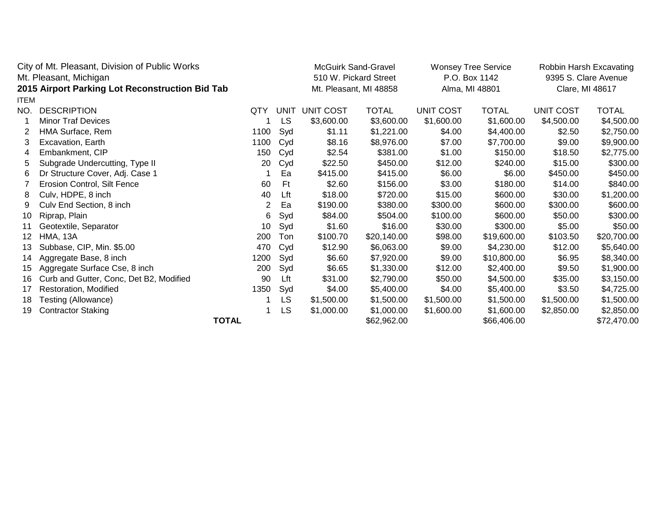| City of Mt. Pleasant, Division of Public Works  |                                         |      |      | <b>McGuirk Sand-Gravel</b>                      |              | <b>Wonsey Tree Service</b>      |             | Robbin Harsh Excavating                 |              |
|-------------------------------------------------|-----------------------------------------|------|------|-------------------------------------------------|--------------|---------------------------------|-------------|-----------------------------------------|--------------|
| Mt. Pleasant, Michigan                          |                                         |      |      | 510 W. Pickard Street<br>Mt. Pleasant, MI 48858 |              | P.O. Box 1142<br>Alma, MI 48801 |             | 9395 S. Clare Avenue<br>Clare, MI 48617 |              |
| 2015 Airport Parking Lot Reconstruction Bid Tab |                                         |      |      |                                                 |              |                                 |             |                                         |              |
| <b>ITEM</b>                                     |                                         |      |      |                                                 |              |                                 |             |                                         |              |
| NO.                                             | <b>DESCRIPTION</b>                      | QTY  | UNIT | <b>UNIT COST</b>                                | <b>TOTAL</b> | <b>UNIT COST</b>                | TOTAL       | <b>UNIT COST</b>                        | <b>TOTAL</b> |
|                                                 | <b>Minor Traf Devices</b>               |      | LS   | \$3,600.00                                      | \$3,600.00   | \$1,600.00                      | \$1,600.00  | \$4,500.00                              | \$4,500.00   |
| 2                                               | HMA Surface, Rem                        | 1100 | Syd  | \$1.11                                          | \$1,221.00   | \$4.00                          | \$4,400.00  | \$2.50                                  | \$2,750.00   |
| 3                                               | Excavation, Earth                       | 1100 | Cyd  | \$8.16                                          | \$8,976.00   | \$7.00                          | \$7,700.00  | \$9.00                                  | \$9,900.00   |
| 4                                               | Embankment, CIP                         | 150  | Cyd  | \$2.54                                          | \$381.00     | \$1.00                          | \$150.00    | \$18.50                                 | \$2,775.00   |
| 5                                               | Subgrade Undercutting, Type II          | 20   | Cyd  | \$22.50                                         | \$450.00     | \$12.00                         | \$240.00    | \$15.00                                 | \$300.00     |
| 6                                               | Dr Structure Cover, Adj. Case 1         |      | Ea   | \$415.00                                        | \$415.00     | \$6.00                          | \$6.00      | \$450.00                                | \$450.00     |
|                                                 | Erosion Control, Silt Fence             | 60   | Ft   | \$2.60                                          | \$156.00     | \$3.00                          | \$180.00    | \$14.00                                 | \$840.00     |
| 8                                               | Culv, HDPE, 8 inch                      | 40   | Lft  | \$18.00                                         | \$720.00     | \$15.00                         | \$600.00    | \$30.00                                 | \$1,200.00   |
| 9                                               | Culv End Section, 8 inch                | 2    | Ea   | \$190.00                                        | \$380.00     | \$300.00                        | \$600.00    | \$300.00                                | \$600.00     |
| 10                                              | Riprap, Plain                           | 6    | Syd  | \$84.00                                         | \$504.00     | \$100.00                        | \$600.00    | \$50.00                                 | \$300.00     |
| 11                                              | Geotextile, Separator                   | 10   | Syd  | \$1.60                                          | \$16.00      | \$30.00                         | \$300.00    | \$5.00                                  | \$50.00      |
| 12                                              | <b>HMA, 13A</b>                         | 200  | Ton  | \$100.70                                        | \$20,140.00  | \$98.00                         | \$19,600.00 | \$103.50                                | \$20,700.00  |
| 13                                              | Subbase, CIP, Min. \$5.00               | 470  | Cyd  | \$12.90                                         | \$6,063.00   | \$9.00                          | \$4,230.00  | \$12.00                                 | \$5,640.00   |
| 14                                              | Aggregate Base, 8 inch                  | 1200 | Syd  | \$6.60                                          | \$7,920.00   | \$9.00                          | \$10,800.00 | \$6.95                                  | \$8,340.00   |
| 15                                              | Aggregate Surface Cse, 8 inch           | 200  | Syd  | \$6.65                                          | \$1,330.00   | \$12.00                         | \$2,400.00  | \$9.50                                  | \$1,900.00   |
| 16                                              | Curb and Gutter, Conc, Det B2, Modified | 90   | Lft  | \$31.00                                         | \$2,790.00   | \$50.00                         | \$4,500.00  | \$35.00                                 | \$3,150.00   |
| 17                                              | Restoration, Modified                   | 1350 | Syd  | \$4.00                                          | \$5,400.00   | \$4.00                          | \$5,400.00  | \$3.50                                  | \$4,725.00   |
| 18                                              | Testing (Allowance)                     |      | LS   | \$1,500.00                                      | \$1,500.00   | \$1,500.00                      | \$1,500.00  | \$1,500.00                              | \$1,500.00   |
| 19                                              | <b>Contractor Staking</b>               |      | LS   | \$1,000.00                                      | \$1,000.00   | \$1,600.00                      | \$1,600.00  | \$2,850.00                              | \$2,850.00   |
|                                                 | <b>TOTAL</b>                            |      |      | \$62,962.00                                     |              | \$66,406.00                     |             | \$72,470.00                             |              |